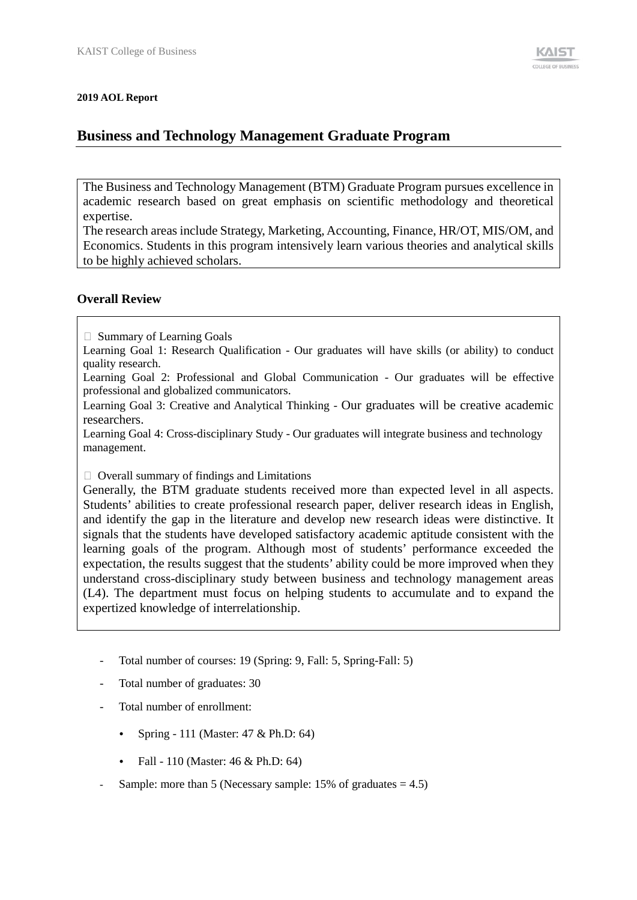#### **2019 AOL Report**

# **Business and Technology Management Graduate Program**

The Business and Technology Management (BTM) Graduate Program pursues excellence in academic research based on great emphasis on scientific methodology and theoretical expertise.

The research areas include Strategy, Marketing, Accounting, Finance, HR/OT, MIS/OM, and Economics. Students in this program intensively learn various theories and analytical skills to be highly achieved scholars.

### **Overall Review**

 $\Box$  Summary of Learning Goals

Learning Goal 1: Research Qualification - Our graduates will have skills (or ability) to conduct quality research.

Learning Goal 2: Professional and Global Communication - Our graduates will be effective professional and globalized communicators.

Learning Goal 3: Creative and Analytical Thinking - Our graduates will be creative academic researchers.

Learning Goal 4: Cross-disciplinary Study - Our graduates will integrate business and technology management.

 $\Box$  Overall summary of findings and Limitations

Generally, the BTM graduate students received more than expected level in all aspects. Students' abilities to create professional research paper, deliver research ideas in English, and identify the gap in the literature and develop new research ideas were distinctive. It signals that the students have developed satisfactory academic aptitude consistent with the learning goals of the program. Although most of students' performance exceeded the expectation, the results suggest that the students' ability could be more improved when they understand cross-disciplinary study between business and technology management areas (L4). The department must focus on helping students to accumulate and to expand the expertized knowledge of interrelationship.

- Total number of courses: 19 (Spring: 9, Fall: 5, Spring-Fall: 5)
- Total number of graduates: 30
- Total number of enrollment:
	- Spring 111 (Master: 47 & Ph.D: 64)
	- Fall 110 (Master: 46 & Ph.D: 64)
- Sample: more than 5 (Necessary sample:  $15\%$  of graduates = 4.5)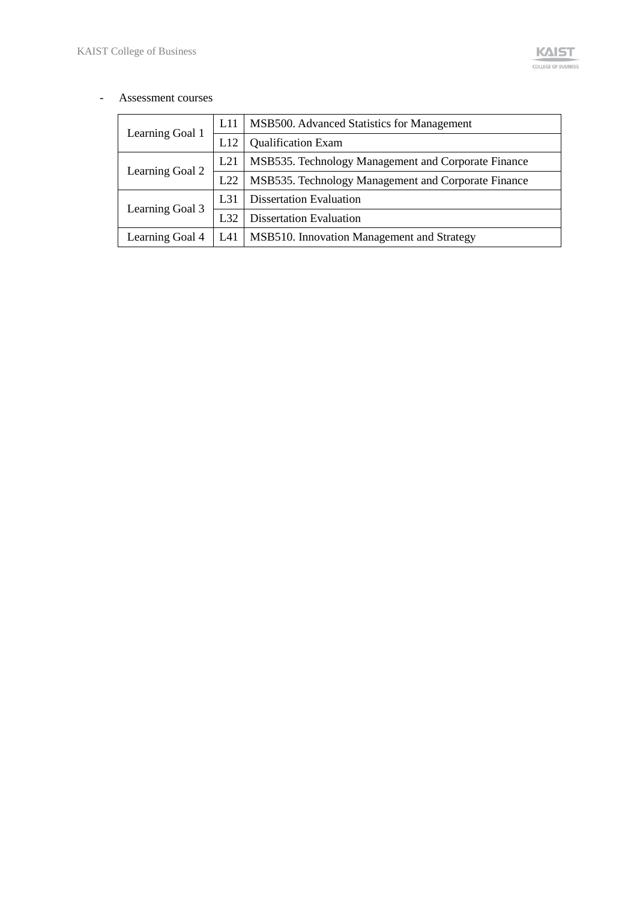#### - Assessment courses

| Learning Goal 1 | L11      | MSB500. Advanced Statistics for Management          |  |  |  |
|-----------------|----------|-----------------------------------------------------|--|--|--|
|                 | L12      | <b>Qualification Exam</b>                           |  |  |  |
|                 | L21      | MSB535. Technology Management and Corporate Finance |  |  |  |
| Learning Goal 2 | L22      | MSB535. Technology Management and Corporate Finance |  |  |  |
|                 | $L_{31}$ | <b>Dissertation Evaluation</b>                      |  |  |  |
| Learning Goal 3 | L32      | <b>Dissertation Evaluation</b>                      |  |  |  |
| Learning Goal 4 | L41      | MSB510. Innovation Management and Strategy          |  |  |  |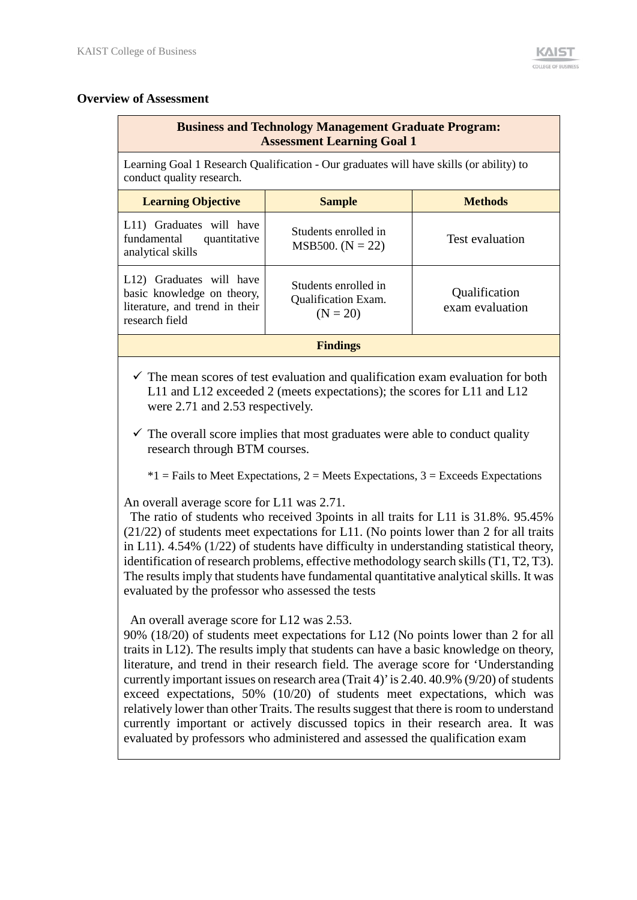### **Overview of Assessment**

## **Business and Technology Management Graduate Program: Assessment Learning Goal 1**

Learning Goal 1 Research Qualification - Our graduates will have skills (or ability) to conduct quality research.

| <b>Learning Objective</b>                                                                                  | <b>Sample</b>                                                    | <b>Methods</b>                   |  |  |
|------------------------------------------------------------------------------------------------------------|------------------------------------------------------------------|----------------------------------|--|--|
| L11) Graduates will have<br>fundamental<br>quantitative<br>analytical skills                               | Students enrolled in<br>MSB500. $(N = 22)$                       | Test evaluation                  |  |  |
| L12) Graduates will have<br>basic knowledge on theory,<br>literature, and trend in their<br>research field | Students enrolled in<br><b>Qualification Exam.</b><br>$(N = 20)$ | Qualification<br>exam evaluation |  |  |
| <b>Findings</b>                                                                                            |                                                                  |                                  |  |  |

- $\checkmark$  The mean scores of test evaluation and qualification exam evaluation for both L11 and L12 exceeded 2 (meets expectations); the scores for L11 and L12 were 2.71 and 2.53 respectively.
- $\checkmark$  The overall score implies that most graduates were able to conduct quality research through BTM courses.
	- $*1$  = Fails to Meet Expectations, 2 = Meets Expectations, 3 = Exceeds Expectations

An overall average score for L11 was 2.71.

The ratio of students who received 3points in all traits for L11 is 31.8%. 95.45% (21/22) of students meet expectations for L11. (No points lower than 2 for all traits in L11). 4.54% (1/22) of students have difficulty in understanding statistical theory, identification of research problems, effective methodology search skills(T1, T2, T3). The results imply that students have fundamental quantitative analytical skills. It was evaluated by the professor who assessed the tests

An overall average score for L12 was 2.53.

90% (18/20) of students meet expectations for L12 (No points lower than 2 for all traits in L12). The results imply that students can have a basic knowledge on theory, literature, and trend in their research field. The average score for 'Understanding currently important issues on research area (Trait 4)' is 2.40. 40.9% (9/20) of students exceed expectations, 50% (10/20) of students meet expectations, which was relatively lower than other Traits. The results suggest that there is room to understand currently important or actively discussed topics in their research area. It was evaluated by professors who administered and assessed the qualification exam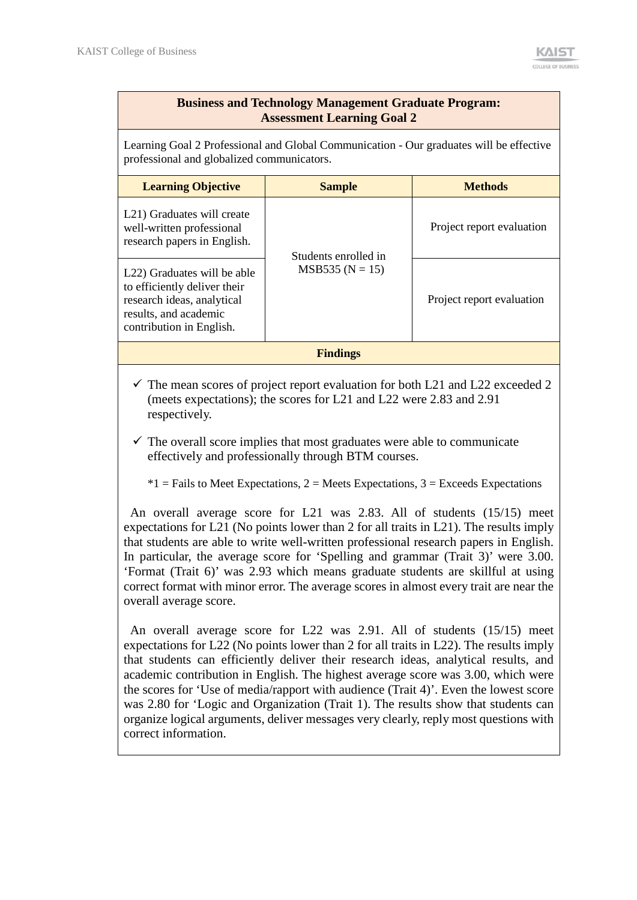## **Business and Technology Management Graduate Program: Assessment Learning Goal 2**

Learning Goal 2 Professional and Global Communication - Our graduates will be effective professional and globalized communicators.

| <b>Learning Objective</b>                                                                                                                                   | <b>Sample</b>        | <b>Methods</b>            |  |  |
|-------------------------------------------------------------------------------------------------------------------------------------------------------------|----------------------|---------------------------|--|--|
| L <sub>21</sub> ) Graduates will create<br>well-written professional<br>research papers in English.                                                         | Students enrolled in | Project report evaluation |  |  |
| L <sub>22</sub> ) Graduates will be able<br>to efficiently deliver their<br>research ideas, analytical<br>results, and academic<br>contribution in English. | $MSB535 (N = 15)$    | Project report evaluation |  |  |
| <b>Findings</b>                                                                                                                                             |                      |                           |  |  |

 $\checkmark$  The mean scores of project report evaluation for both L21 and L22 exceeded 2 (meets expectations); the scores for L21 and L22 were 2.83 and 2.91 respectively.

 $\checkmark$  The overall score implies that most graduates were able to communicate effectively and professionally through BTM courses.

 $*1$  = Fails to Meet Expectations, 2 = Meets Expectations, 3 = Exceeds Expectations

An overall average score for L21 was 2.83. All of students (15/15) meet expectations for L21 (No points lower than 2 for all traits in L21). The results imply that students are able to write well-written professional research papers in English. In particular, the average score for 'Spelling and grammar (Trait 3)' were 3.00. 'Format (Trait 6)' was 2.93 which means graduate students are skillful at using correct format with minor error. The average scores in almost every trait are near the overall average score.

An overall average score for L22 was 2.91. All of students (15/15) meet expectations for L22 (No points lower than 2 for all traits in L22). The results imply that students can efficiently deliver their research ideas, analytical results, and academic contribution in English. The highest average score was 3.00, which were the scores for 'Use of media/rapport with audience (Trait 4)'. Even the lowest score was 2.80 for 'Logic and Organization (Trait 1). The results show that students can organize logical arguments, deliver messages very clearly, reply most questions with correct information.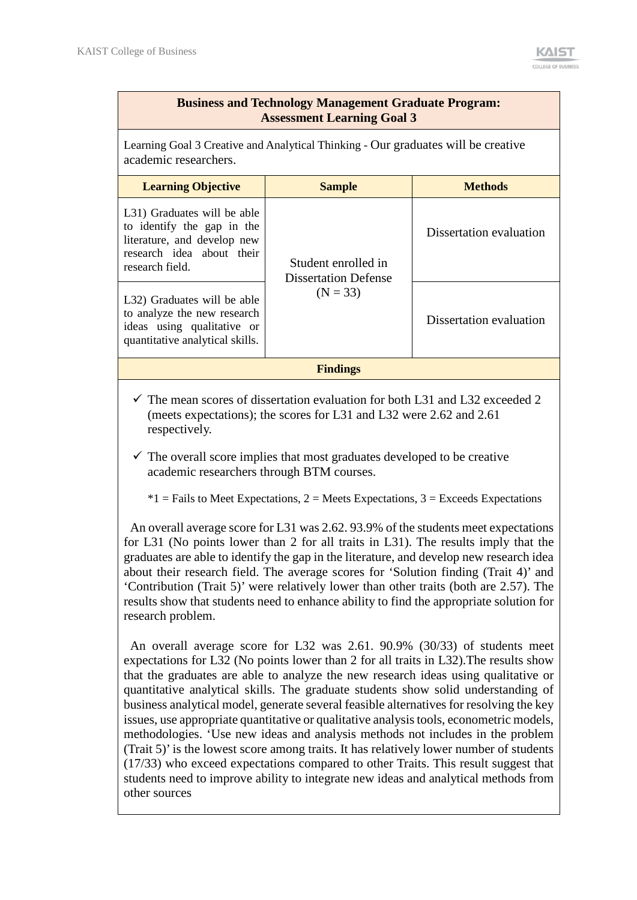## **Business and Technology Management Graduate Program: Assessment Learning Goal 3**

Learning Goal 3 Creative and Analytical Thinking - Our graduates will be creative academic researchers.

| <b>Learning Objective</b>                                                                                                                | <b>Sample</b>                               | <b>Methods</b>          |  |  |
|------------------------------------------------------------------------------------------------------------------------------------------|---------------------------------------------|-------------------------|--|--|
| L31) Graduates will be able<br>to identify the gap in the<br>literature, and develop new<br>research idea about their<br>research field. | Student enrolled in<br>Dissertation Defense | Dissertation evaluation |  |  |
| L32) Graduates will be able<br>to analyze the new research<br>ideas using qualitative or<br>quantitative analytical skills.              | $(N = 33)$                                  | Dissertation evaluation |  |  |
| <b>Findings</b>                                                                                                                          |                                             |                         |  |  |

 $\checkmark$  The mean scores of dissertation evaluation for both L31 and L32 exceeded 2 (meets expectations); the scores for L31 and L32 were 2.62 and 2.61 respectively.

 $\checkmark$  The overall score implies that most graduates developed to be creative academic researchers through BTM courses.

 $*1$  = Fails to Meet Expectations, 2 = Meets Expectations, 3 = Exceeds Expectations

An overall average score for L31 was 2.62. 93.9% of the students meet expectations for L31 (No points lower than 2 for all traits in L31). The results imply that the graduates are able to identify the gap in the literature, and develop new research idea about their research field. The average scores for 'Solution finding (Trait 4)' and 'Contribution (Trait 5)' were relatively lower than other traits (both are 2.57). The results show that students need to enhance ability to find the appropriate solution for research problem.

An overall average score for L32 was 2.61. 90.9% (30/33) of students meet expectations for L32 (No points lower than 2 for all traits in L32).The results show that the graduates are able to analyze the new research ideas using qualitative or quantitative analytical skills. The graduate students show solid understanding of business analytical model, generate several feasible alternatives for resolving the key issues, use appropriate quantitative or qualitative analysis tools, econometric models, methodologies. 'Use new ideas and analysis methods not includes in the problem (Trait 5)' is the lowest score among traits. It has relatively lower number of students (17/33) who exceed expectations compared to other Traits. This result suggest that students need to improve ability to integrate new ideas and analytical methods from other sources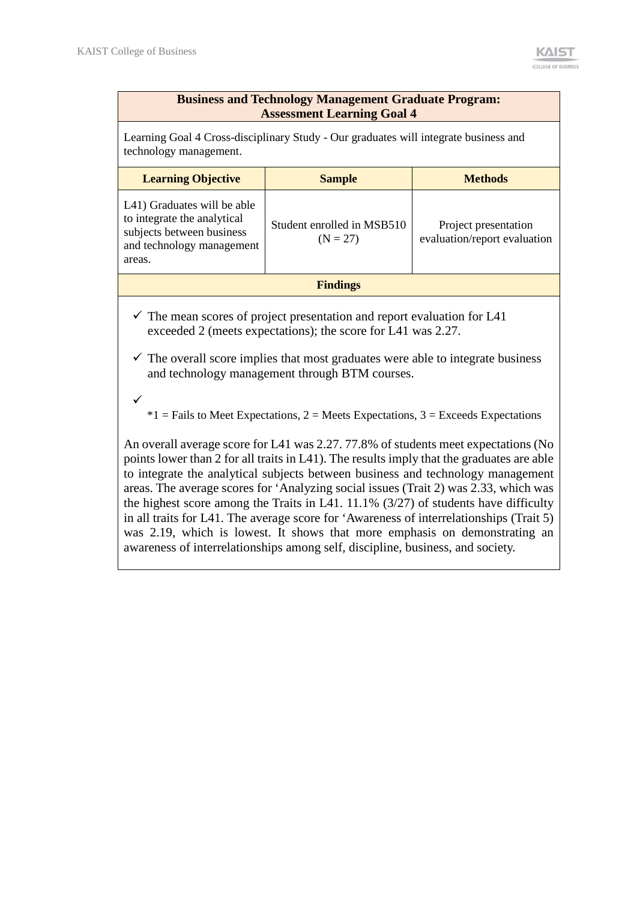#### **Business and Technology Management Graduate Program: Assessment Learning Goal 4**

Learning Goal 4 Cross-disciplinary Study - Our graduates will integrate business and technology management.

| <b>Learning Objective</b>                                                                                                      | <b>Sample</b>                            | <b>Methods</b>                                       |  |  |
|--------------------------------------------------------------------------------------------------------------------------------|------------------------------------------|------------------------------------------------------|--|--|
| L41) Graduates will be able<br>to integrate the analytical<br>subjects between business<br>and technology management<br>areas. | Student enrolled in MSB510<br>$(N = 27)$ | Project presentation<br>evaluation/report evaluation |  |  |
| <b>Findings</b>                                                                                                                |                                          |                                                      |  |  |

 $\checkmark$  The mean scores of project presentation and report evaluation for L41 exceeded 2 (meets expectations); the score for L41 was 2.27.

- $\checkmark$  The overall score implies that most graduates were able to integrate business and technology management through BTM courses.
- $\checkmark$

 $*1$  = Fails to Meet Expectations, 2 = Meets Expectations, 3 = Exceeds Expectations

An overall average score for L41 was 2.27. 77.8% of students meet expectations (No points lower than 2 for all traits in L41). The results imply that the graduates are able to integrate the analytical subjects between business and technology management areas. The average scores for 'Analyzing social issues (Trait 2) was 2.33, which was the highest score among the Traits in L41. 11.1% (3/27) of students have difficulty in all traits for L41. The average score for 'Awareness of interrelationships (Trait 5) was 2.19, which is lowest. It shows that more emphasis on demonstrating an awareness of interrelationships among self, discipline, business, and society.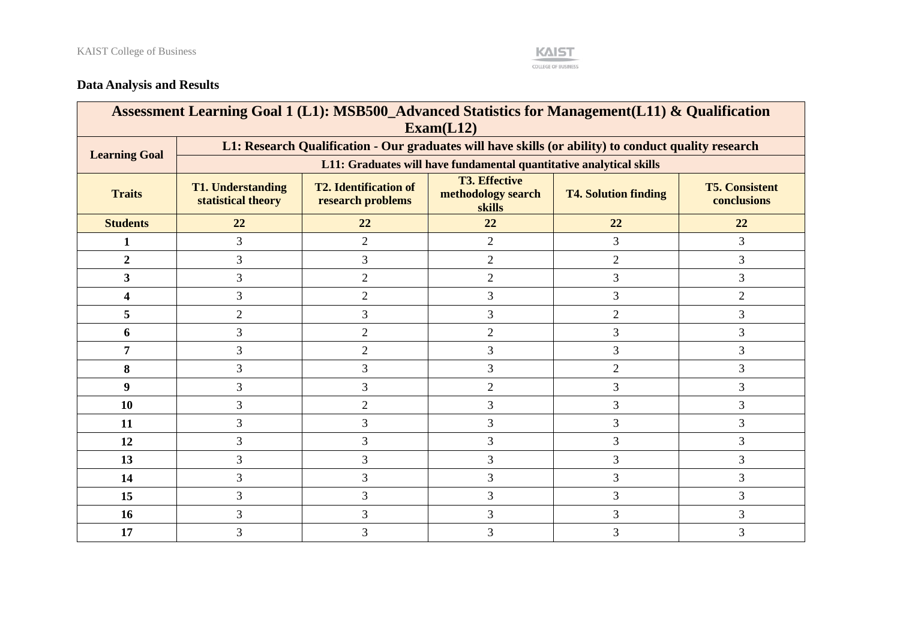

# **Data Analysis and Results**

| Assessment Learning Goal 1 (L1): MSB500_Advanced Statistics for Management(L11) & Qualification<br>Exam(L12) |                                                |                                                                                                                                                                                  |                |                |                |  |  |  |  |  |
|--------------------------------------------------------------------------------------------------------------|------------------------------------------------|----------------------------------------------------------------------------------------------------------------------------------------------------------------------------------|----------------|----------------|----------------|--|--|--|--|--|
| L1: Research Qualification - Our graduates will have skills (or ability) to conduct quality research         |                                                |                                                                                                                                                                                  |                |                |                |  |  |  |  |  |
| <b>Learning Goal</b>                                                                                         |                                                | L11: Graduates will have fundamental quantitative analytical skills                                                                                                              |                |                |                |  |  |  |  |  |
| <b>Traits</b>                                                                                                | <b>T1. Understanding</b><br>statistical theory | <b>T3. Effective</b><br><b>T2. Identification of</b><br><b>T5. Consistent</b><br>methodology search<br><b>T4. Solution finding</b><br>research problems<br>conclusions<br>skills |                |                |                |  |  |  |  |  |
| <b>Students</b>                                                                                              | 22                                             | 22                                                                                                                                                                               | 22             | 22             | 22             |  |  |  |  |  |
| 1                                                                                                            | 3                                              | $\overline{2}$                                                                                                                                                                   | $\overline{2}$ | 3              | 3              |  |  |  |  |  |
| $\overline{2}$                                                                                               | 3                                              | 3                                                                                                                                                                                | 2              | $\overline{2}$ | 3              |  |  |  |  |  |
| 3                                                                                                            | 3                                              | $\overline{2}$                                                                                                                                                                   | $\overline{2}$ | 3              | 3              |  |  |  |  |  |
| 4                                                                                                            | $\overline{3}$                                 | $\overline{2}$                                                                                                                                                                   | 3              | 3              | $\overline{2}$ |  |  |  |  |  |
| 5                                                                                                            | $\overline{2}$                                 | 3                                                                                                                                                                                | 3              | $\overline{2}$ | 3              |  |  |  |  |  |
| 6                                                                                                            | 3                                              | $\overline{2}$                                                                                                                                                                   | $\overline{2}$ | 3              | 3              |  |  |  |  |  |
| 7                                                                                                            | 3                                              | $\overline{2}$                                                                                                                                                                   | 3              | 3              | 3              |  |  |  |  |  |
| 8                                                                                                            | 3                                              | 3                                                                                                                                                                                | 3              | $\overline{2}$ | 3              |  |  |  |  |  |
| 9                                                                                                            | 3                                              | 3                                                                                                                                                                                | $\overline{2}$ | 3              | 3              |  |  |  |  |  |
| 10                                                                                                           | 3                                              | $\overline{2}$                                                                                                                                                                   | 3              | 3              | 3              |  |  |  |  |  |
| 11                                                                                                           | 3                                              | 3                                                                                                                                                                                | 3              | 3              | 3              |  |  |  |  |  |
| 12                                                                                                           | 3                                              | 3                                                                                                                                                                                | 3              | 3              | 3              |  |  |  |  |  |
| 13                                                                                                           | 3                                              | 3                                                                                                                                                                                | 3              | 3              | 3              |  |  |  |  |  |
| 14                                                                                                           | 3                                              | 3                                                                                                                                                                                | 3              | 3              | 3              |  |  |  |  |  |
| 15                                                                                                           | 3                                              | 3                                                                                                                                                                                | 3              | 3              | 3              |  |  |  |  |  |
| 16                                                                                                           | $\overline{3}$                                 | 3                                                                                                                                                                                | 3              | 3              | 3              |  |  |  |  |  |
| 17                                                                                                           | 3                                              | 3                                                                                                                                                                                | 3              | 3              | 3              |  |  |  |  |  |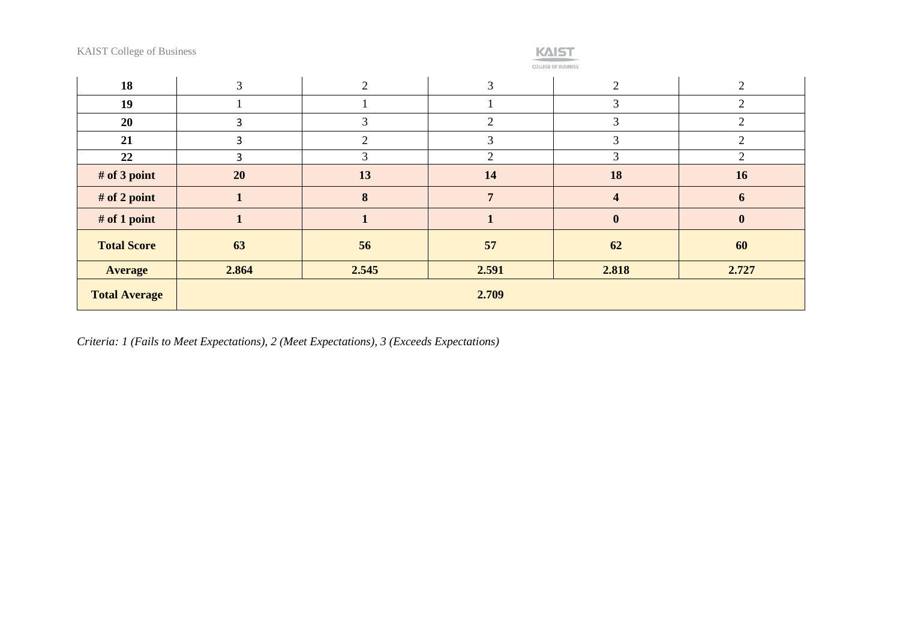# **KAIST**

**COLLEGE OF BUSINESS** 

| 18                   | 3     | 2     | 3              | 2              | $\overline{2}$ |
|----------------------|-------|-------|----------------|----------------|----------------|
| 19                   |       |       |                | 3              | ◠              |
| 20                   | 3     | 3     | $\overline{2}$ | 3              | $\mathcal{D}$  |
| 21                   | 3     | 2     | 3              | 3              | $\mathcal{D}$  |
| 22                   | 3     | 3     | $\overline{2}$ | 3              | 2              |
| # of 3 point         | 20    | 13    | 14             | 18             | 16             |
| # of 2 point         |       | 8     | $\overline{7}$ | $\overline{4}$ | 6              |
| # of 1 point         |       |       | 1              | $\bf{0}$       | $\mathbf{0}$   |
| <b>Total Score</b>   | 63    | 56    | 57             | 62             | 60             |
| <b>Average</b>       | 2.864 | 2.545 | 2.591          | 2.818          | 2.727          |
| <b>Total Average</b> |       |       | 2.709          |                |                |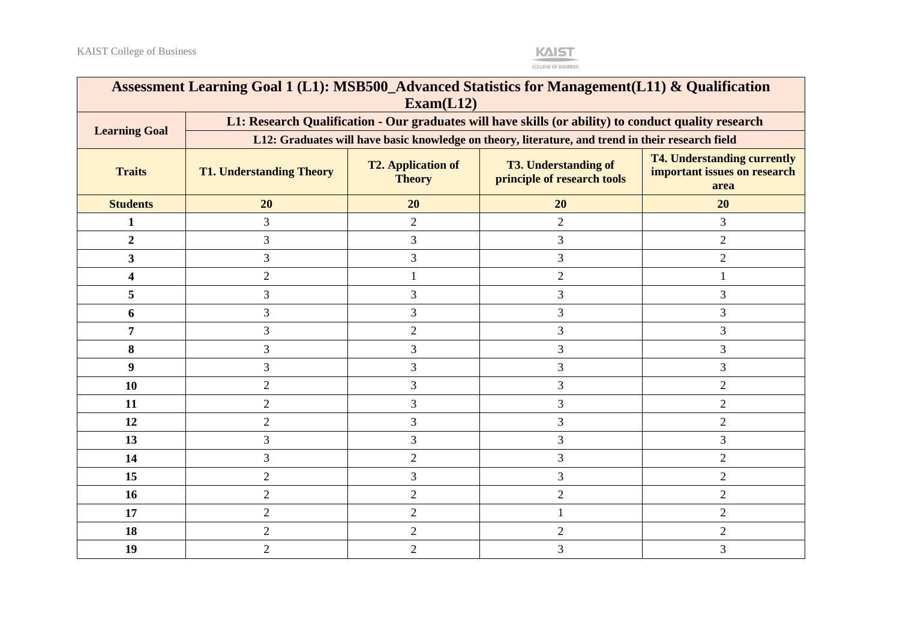

| Assessment Learning Goal 1 (L1): MSB500_Advanced Statistics for Management(L11) & Qualification<br>Exam(L12) |                                                                                                      |                                                                                                                                                                                        |                                                                                                   |                |  |  |  |  |
|--------------------------------------------------------------------------------------------------------------|------------------------------------------------------------------------------------------------------|----------------------------------------------------------------------------------------------------------------------------------------------------------------------------------------|---------------------------------------------------------------------------------------------------|----------------|--|--|--|--|
| <b>Learning Goal</b>                                                                                         | L1: Research Qualification - Our graduates will have skills (or ability) to conduct quality research |                                                                                                                                                                                        |                                                                                                   |                |  |  |  |  |
|                                                                                                              |                                                                                                      |                                                                                                                                                                                        | L12: Graduates will have basic knowledge on theory, literature, and trend in their research field |                |  |  |  |  |
| <b>Traits</b>                                                                                                | <b>T1. Understanding Theory</b>                                                                      | <b>T4. Understanding currently</b><br><b>T3. Understanding of</b><br><b>T2. Application of</b><br>important issues on research<br>principle of research tools<br><b>Theory</b><br>area |                                                                                                   |                |  |  |  |  |
| <b>Students</b>                                                                                              | 20                                                                                                   | 20                                                                                                                                                                                     | 20                                                                                                | 20             |  |  |  |  |
| 1                                                                                                            | 3                                                                                                    | $\overline{2}$                                                                                                                                                                         | $\overline{2}$                                                                                    | 3              |  |  |  |  |
| $\overline{2}$                                                                                               | 3                                                                                                    | 3                                                                                                                                                                                      | 3                                                                                                 | $\overline{2}$ |  |  |  |  |
| $\overline{\mathbf{3}}$                                                                                      | 3                                                                                                    | 3                                                                                                                                                                                      | 3                                                                                                 | $\overline{2}$ |  |  |  |  |
| 4                                                                                                            | $\overline{2}$                                                                                       | 1                                                                                                                                                                                      | $\overline{2}$                                                                                    |                |  |  |  |  |
| 5                                                                                                            | 3                                                                                                    | 3                                                                                                                                                                                      | 3                                                                                                 | 3              |  |  |  |  |
| 6                                                                                                            | 3                                                                                                    | 3                                                                                                                                                                                      | 3                                                                                                 | 3              |  |  |  |  |
| 7                                                                                                            | 3                                                                                                    | $\overline{2}$                                                                                                                                                                         | 3                                                                                                 | 3              |  |  |  |  |
| 8                                                                                                            | 3                                                                                                    | 3                                                                                                                                                                                      | 3                                                                                                 | 3              |  |  |  |  |
| 9                                                                                                            | 3                                                                                                    | 3                                                                                                                                                                                      | 3                                                                                                 | 3              |  |  |  |  |
| 10                                                                                                           | $\overline{2}$                                                                                       | 3                                                                                                                                                                                      | 3                                                                                                 | $\overline{2}$ |  |  |  |  |
| 11                                                                                                           | $\overline{2}$                                                                                       | 3                                                                                                                                                                                      | 3                                                                                                 | $\overline{2}$ |  |  |  |  |
| 12                                                                                                           | $\mathbf{2}$                                                                                         | 3                                                                                                                                                                                      | 3                                                                                                 | $\sqrt{2}$     |  |  |  |  |
| 13                                                                                                           | 3                                                                                                    | 3                                                                                                                                                                                      | 3                                                                                                 | 3              |  |  |  |  |
| 14                                                                                                           | 3                                                                                                    | $\overline{2}$                                                                                                                                                                         | 3                                                                                                 | $\overline{2}$ |  |  |  |  |
| 15                                                                                                           | $\overline{2}$                                                                                       | 3                                                                                                                                                                                      | 3                                                                                                 | $\overline{2}$ |  |  |  |  |
| 16                                                                                                           | $\overline{2}$                                                                                       | $\overline{2}$                                                                                                                                                                         | $\overline{2}$                                                                                    | $\overline{2}$ |  |  |  |  |
| 17                                                                                                           | $\overline{2}$                                                                                       | $\overline{2}$                                                                                                                                                                         | 1                                                                                                 | $\overline{2}$ |  |  |  |  |
| 18                                                                                                           | $\overline{2}$                                                                                       | $\overline{2}$                                                                                                                                                                         | $\overline{2}$                                                                                    | $\overline{2}$ |  |  |  |  |
| 19                                                                                                           | $\overline{2}$                                                                                       | $\overline{2}$                                                                                                                                                                         | 3                                                                                                 | $\overline{3}$ |  |  |  |  |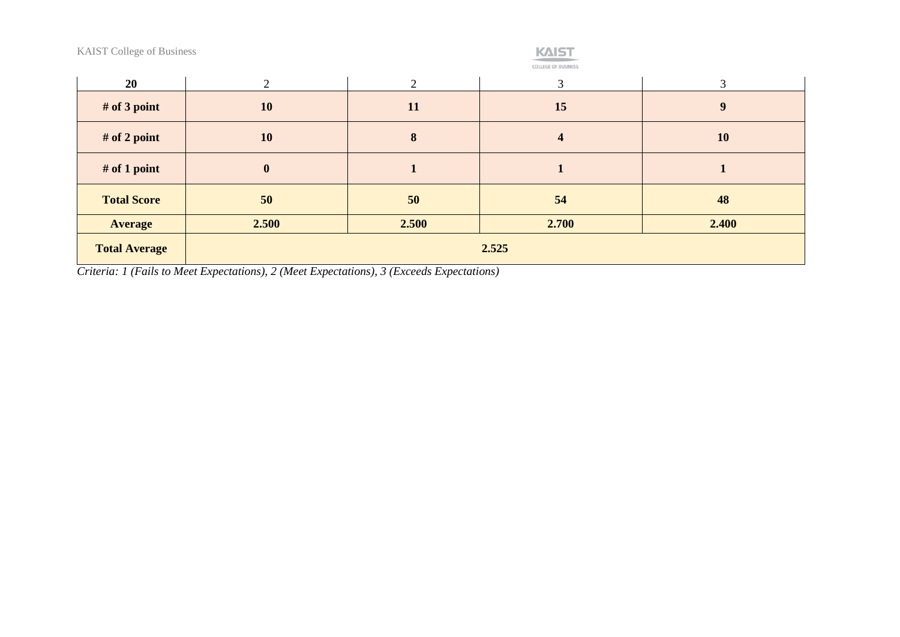| <b>KAIST</b>               |
|----------------------------|
| <b>COLLEGE OF BUSINESS</b> |

| <b>OLLEGE OF BUSINES</b> |  |  |  |
|--------------------------|--|--|--|
| _______                  |  |  |  |

| 20                   | ◠         | 2     | 3                       |       |  |  |
|----------------------|-----------|-------|-------------------------|-------|--|--|
| # of 3 point         | <b>10</b> | 11    | 15                      | 9     |  |  |
| $#$ of 2 point       | 10        | 8     | $\overline{\mathbf{4}}$ | 10    |  |  |
| $#$ of 1 point       | $\bf{0}$  |       |                         |       |  |  |
| <b>Total Score</b>   | 50        | 50    | 54                      | 48    |  |  |
| <b>Average</b>       | 2.500     | 2.500 | 2.700                   | 2.400 |  |  |
| <b>Total Average</b> | 2.525     |       |                         |       |  |  |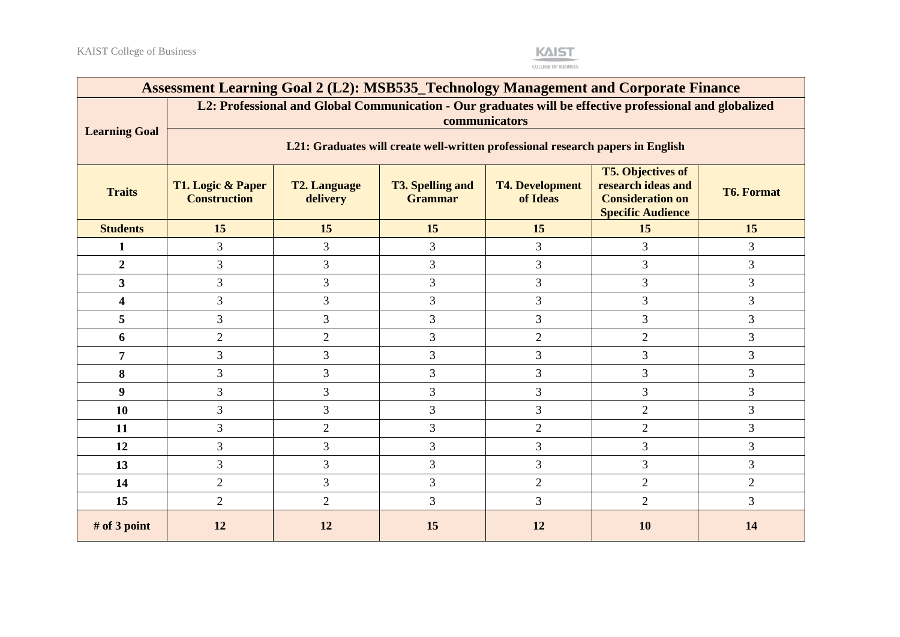

| Assessment Learning Goal 2 (L2): MSB535_Technology Management and Corporate Finance |                                                                                                                          |                                                                                                                                                                                                                                                  |    |                |                |                |  |  |  |
|-------------------------------------------------------------------------------------|--------------------------------------------------------------------------------------------------------------------------|--------------------------------------------------------------------------------------------------------------------------------------------------------------------------------------------------------------------------------------------------|----|----------------|----------------|----------------|--|--|--|
|                                                                                     | L2: Professional and Global Communication - Our graduates will be effective professional and globalized<br>communicators |                                                                                                                                                                                                                                                  |    |                |                |                |  |  |  |
| <b>Learning Goal</b>                                                                | L21: Graduates will create well-written professional research papers in English                                          |                                                                                                                                                                                                                                                  |    |                |                |                |  |  |  |
| <b>Traits</b>                                                                       | T1. Logic & Paper<br><b>Construction</b>                                                                                 | <b>T5. Objectives of</b><br>research ideas and<br><b>T2. Language</b><br><b>T3. Spelling and</b><br><b>T4. Development</b><br><b>T6. Format</b><br>of Ideas<br><b>Consideration on</b><br>delivery<br><b>Grammar</b><br><b>Specific Audience</b> |    |                |                |                |  |  |  |
| <b>Students</b>                                                                     | 15                                                                                                                       | 15                                                                                                                                                                                                                                               | 15 | 15             | 15             | 15             |  |  |  |
| 1                                                                                   | $\overline{3}$                                                                                                           | 3                                                                                                                                                                                                                                                | 3  | 3              | 3              | 3              |  |  |  |
| $\overline{2}$                                                                      | 3                                                                                                                        | 3                                                                                                                                                                                                                                                | 3  | 3              | 3              | 3              |  |  |  |
| $\mathbf{3}$                                                                        | $\overline{3}$                                                                                                           | 3                                                                                                                                                                                                                                                | 3  | $\mathfrak{Z}$ | 3              | 3              |  |  |  |
| $\overline{\mathbf{4}}$                                                             | $\overline{3}$                                                                                                           | 3                                                                                                                                                                                                                                                | 3  | 3              | 3              | 3              |  |  |  |
| 5                                                                                   | $\overline{3}$                                                                                                           | 3                                                                                                                                                                                                                                                | 3  | 3              | 3              | 3              |  |  |  |
| 6                                                                                   | $\overline{2}$                                                                                                           | $\overline{2}$                                                                                                                                                                                                                                   | 3  | $\overline{2}$ | $\overline{2}$ | 3              |  |  |  |
| 7                                                                                   | 3                                                                                                                        | 3                                                                                                                                                                                                                                                | 3  | 3              | 3              | 3              |  |  |  |
| 8                                                                                   | 3                                                                                                                        | 3                                                                                                                                                                                                                                                | 3  | 3              | 3              | 3              |  |  |  |
| 9                                                                                   | $\overline{3}$                                                                                                           | 3                                                                                                                                                                                                                                                | 3  | 3              | 3              | 3              |  |  |  |
| 10                                                                                  | $\overline{3}$                                                                                                           | $\overline{3}$                                                                                                                                                                                                                                   | 3  | 3              | $\overline{2}$ | $\mathfrak{Z}$ |  |  |  |
| 11                                                                                  | 3                                                                                                                        | $\overline{2}$                                                                                                                                                                                                                                   | 3  | $\overline{2}$ | $\overline{2}$ | 3              |  |  |  |
| 12                                                                                  | $\overline{3}$                                                                                                           | 3                                                                                                                                                                                                                                                | 3  | 3              | 3              | 3              |  |  |  |
| 13                                                                                  | 3                                                                                                                        | 3                                                                                                                                                                                                                                                | 3  | 3              | 3              | 3              |  |  |  |
| 14                                                                                  | $\overline{2}$                                                                                                           | $\overline{3}$                                                                                                                                                                                                                                   | 3  | $\overline{2}$ | $\overline{2}$ | $\overline{2}$ |  |  |  |
| 15                                                                                  | $\overline{2}$                                                                                                           | $\overline{2}$                                                                                                                                                                                                                                   | 3  | 3              | $\overline{2}$ | 3              |  |  |  |
| # of 3 point                                                                        | 12                                                                                                                       | 12                                                                                                                                                                                                                                               | 15 | 12             | 10             | 14             |  |  |  |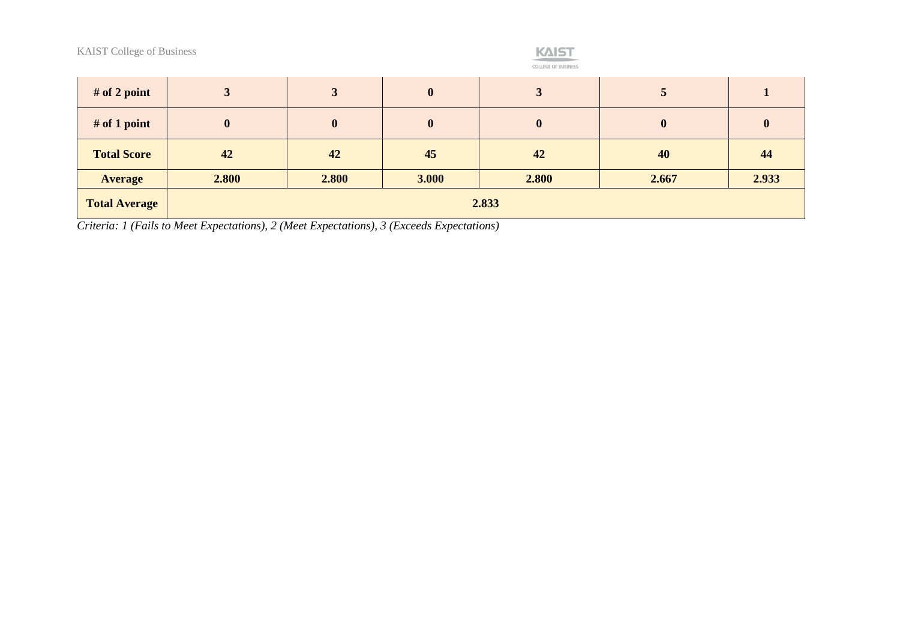

| # of 2 point         |                  | 3                | $\boldsymbol{0}$ | 3        |          |              |
|----------------------|------------------|------------------|------------------|----------|----------|--------------|
| $#$ of 1 point       | $\boldsymbol{0}$ | $\boldsymbol{0}$ | $\bf{0}$         | $\bf{0}$ | $\bf{0}$ | $\mathbf{0}$ |
| <b>Total Score</b>   | 42               | 42               | 45               | 42       | 40       | 44           |
| <b>Average</b>       | 2.800            | 2.800            | 3.000            | 2.800    | 2.667    | 2.933        |
| <b>Total Average</b> |                  |                  |                  | 2.833    |          |              |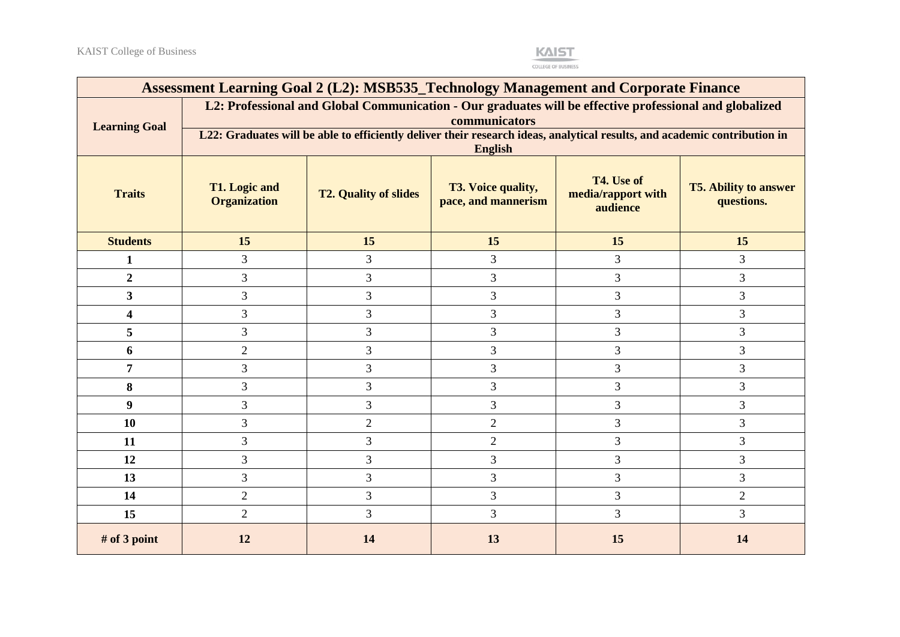

|                      | Assessment Learning Goal 2 (L2): MSB535_Technology Management and Corporate Finance |                              |                                                                                                                                             |                                              |                                            |
|----------------------|-------------------------------------------------------------------------------------|------------------------------|---------------------------------------------------------------------------------------------------------------------------------------------|----------------------------------------------|--------------------------------------------|
| <b>Learning Goal</b> |                                                                                     |                              | L2: Professional and Global Communication - Our graduates will be effective professional and globalized<br>communicators                    |                                              |                                            |
|                      |                                                                                     |                              | L22: Graduates will be able to efficiently deliver their research ideas, analytical results, and academic contribution in<br><b>English</b> |                                              |                                            |
| <b>Traits</b>        | <b>T1.</b> Logic and<br><b>Organization</b>                                         | <b>T2. Quality of slides</b> | T3. Voice quality,<br>pace, and mannerism                                                                                                   | T4. Use of<br>media/rapport with<br>audience | <b>T5. Ability to answer</b><br>questions. |
| <b>Students</b>      | 15                                                                                  | 15                           | 15                                                                                                                                          | 15                                           | 15                                         |
| $\mathbf{1}$         | 3                                                                                   | 3                            | 3                                                                                                                                           | 3                                            | 3                                          |
| $\overline{2}$       | 3                                                                                   | 3                            | 3                                                                                                                                           | 3                                            | 3                                          |
| $\mathbf{3}$         | 3                                                                                   | 3                            | 3                                                                                                                                           | 3                                            | 3                                          |
| 4                    | 3                                                                                   | 3                            | $\overline{3}$                                                                                                                              | 3                                            | 3                                          |
| 5                    | 3                                                                                   | 3                            | $\overline{3}$                                                                                                                              | 3                                            | 3                                          |
| 6                    | $\mathfrak{2}$                                                                      | 3                            | 3                                                                                                                                           | 3                                            | 3                                          |
| $\overline{7}$       | 3                                                                                   | 3                            | 3                                                                                                                                           | 3                                            | $\mathfrak{Z}$                             |
| 8                    | 3                                                                                   | 3                            | 3                                                                                                                                           | 3                                            | 3                                          |
| 9                    | 3                                                                                   | 3                            | 3                                                                                                                                           | 3                                            | $\mathfrak{Z}$                             |
| 10                   | 3                                                                                   | $\mathbf{2}$                 | $\overline{2}$                                                                                                                              | 3                                            | $\mathfrak{Z}$                             |
| 11                   | 3                                                                                   | 3                            | $\overline{2}$                                                                                                                              | 3                                            | 3                                          |
| 12                   | 3                                                                                   | 3                            | 3                                                                                                                                           | 3                                            | $\mathfrak{Z}$                             |
| 13                   | 3                                                                                   | $\mathfrak{Z}$               | 3                                                                                                                                           | 3                                            | 3                                          |
| 14                   | $\overline{2}$                                                                      | 3                            | 3                                                                                                                                           | $\overline{3}$                               | $\overline{2}$                             |
| 15                   | $\overline{2}$                                                                      | 3                            | 3                                                                                                                                           | 3                                            | 3                                          |
| $#$ of 3 point       | 12                                                                                  | 14                           | 13                                                                                                                                          | 15                                           | 14                                         |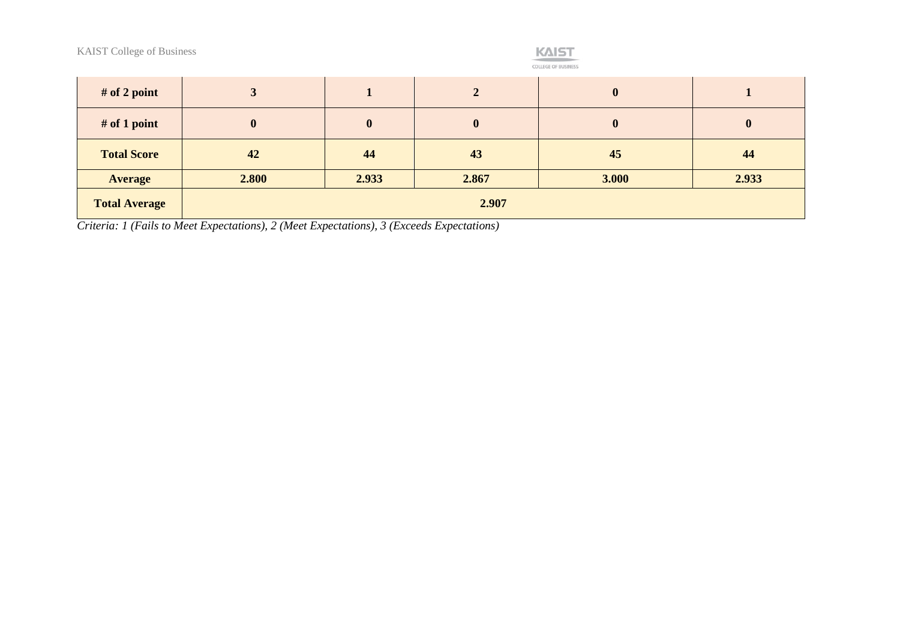

| # of 2 point         |          |                  | 2        | $\mathbf 0$  |              |
|----------------------|----------|------------------|----------|--------------|--------------|
| $#$ of 1 point       | $\bf{0}$ | $\boldsymbol{0}$ | $\bf{0}$ | $\mathbf{0}$ | $\mathbf{0}$ |
| <b>Total Score</b>   | 42       | 44               | 43       | 45           | 44           |
| <b>Average</b>       | 2.800    | 2.933            | 2.867    | 3.000        | 2.933        |
| <b>Total Average</b> |          |                  | 2.907    |              |              |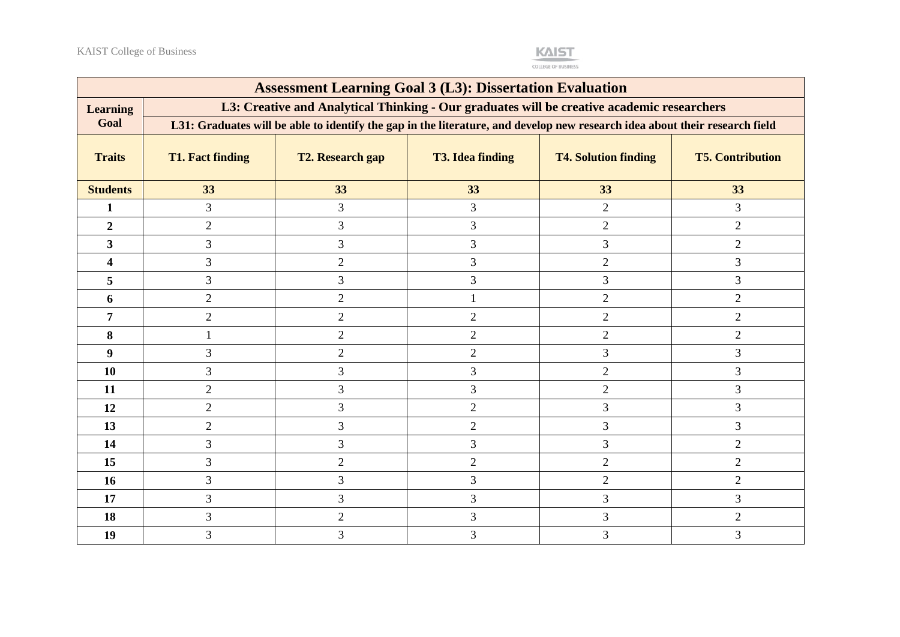

|                         | <b>Assessment Learning Goal 3 (L3): Dissertation Evaluation</b> |                                                                                                                             |                         |                             |                         |  |  |  |  |
|-------------------------|-----------------------------------------------------------------|-----------------------------------------------------------------------------------------------------------------------------|-------------------------|-----------------------------|-------------------------|--|--|--|--|
| <b>Learning</b>         |                                                                 | L3: Creative and Analytical Thinking - Our graduates will be creative academic researchers                                  |                         |                             |                         |  |  |  |  |
| Goal                    |                                                                 | L31: Graduates will be able to identify the gap in the literature, and develop new research idea about their research field |                         |                             |                         |  |  |  |  |
| <b>Traits</b>           | <b>T1. Fact finding</b>                                         | T2. Research gap                                                                                                            | <b>T3. Idea finding</b> | <b>T4. Solution finding</b> | <b>T5. Contribution</b> |  |  |  |  |
| <b>Students</b>         | 33                                                              | 33                                                                                                                          | 33                      | 33                          | 33                      |  |  |  |  |
| 1                       | 3                                                               | 3                                                                                                                           | $\mathfrak{Z}$          | $\overline{2}$              | 3                       |  |  |  |  |
| $\boldsymbol{2}$        | $\overline{2}$                                                  | 3                                                                                                                           | 3                       | $\mathbf{2}$                | $\overline{2}$          |  |  |  |  |
| $\overline{\mathbf{3}}$ | $\overline{3}$                                                  | 3                                                                                                                           | 3                       | 3                           | 2                       |  |  |  |  |
| 4                       | $\overline{3}$                                                  | $\overline{2}$                                                                                                              | 3                       | $\overline{2}$              | $\overline{3}$          |  |  |  |  |
| 5                       | 3                                                               | 3                                                                                                                           | 3                       | 3                           | $\overline{3}$          |  |  |  |  |
| 6                       | $\overline{2}$                                                  | $\overline{2}$                                                                                                              |                         | $\overline{2}$              | 2                       |  |  |  |  |
| $\overline{7}$          | 2                                                               | 2                                                                                                                           | $\overline{2}$          | $\overline{2}$              | 2                       |  |  |  |  |
| 8                       |                                                                 | $\overline{2}$                                                                                                              | $\overline{2}$          | $\overline{2}$              | $\overline{2}$          |  |  |  |  |
| 9                       | 3                                                               | $\overline{2}$                                                                                                              | $\overline{2}$          | 3                           | 3                       |  |  |  |  |
| 10                      | 3                                                               | 3                                                                                                                           | 3                       | $\overline{2}$              | 3                       |  |  |  |  |
| 11                      | $\overline{2}$                                                  | 3                                                                                                                           | $\overline{3}$          | $\overline{2}$              | 3                       |  |  |  |  |
| 12                      | 2                                                               | 3                                                                                                                           | $\overline{2}$          | $\overline{3}$              | $\overline{3}$          |  |  |  |  |
| 13                      | $\overline{2}$                                                  | 3                                                                                                                           | $\overline{2}$          | 3                           | $\overline{3}$          |  |  |  |  |
| 14                      | 3                                                               | 3                                                                                                                           | 3                       | 3                           | $\overline{2}$          |  |  |  |  |
| 15                      | $\overline{3}$                                                  | $\overline{2}$                                                                                                              | $\mathbf{2}$            | $\overline{2}$              | $\overline{2}$          |  |  |  |  |
| 16                      | 3                                                               | 3                                                                                                                           | 3                       | $\overline{2}$              | $\overline{2}$          |  |  |  |  |
| 17                      | 3                                                               | 3                                                                                                                           | 3                       | $\mathfrak{Z}$              | 3                       |  |  |  |  |
| 18                      | 3                                                               | $\overline{2}$                                                                                                              | 3                       | 3                           | $\overline{2}$          |  |  |  |  |
| 19                      | 3                                                               | 3                                                                                                                           | 3                       | $\mathfrak{Z}$              | 3                       |  |  |  |  |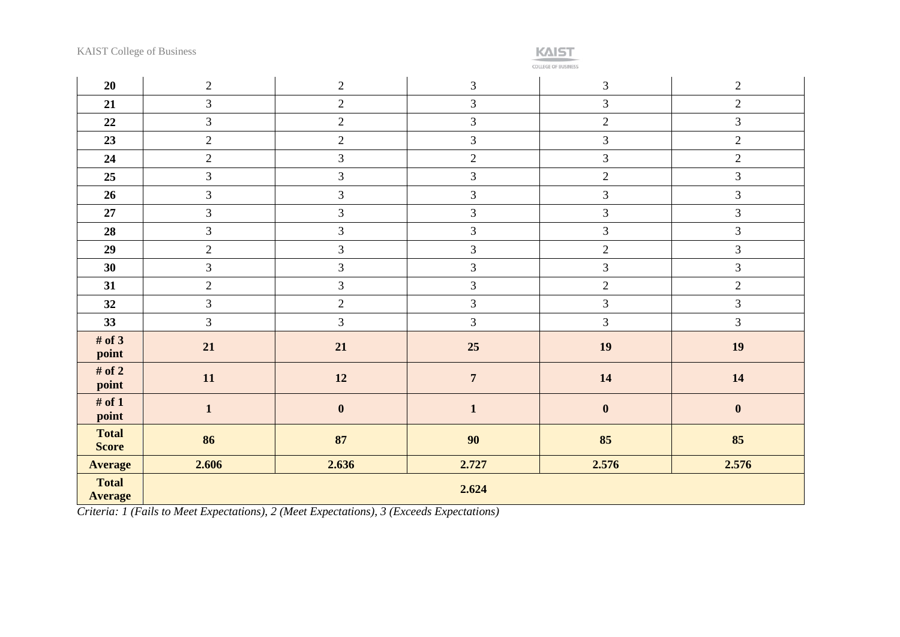COLLEGE OF BUSINESS

| 20                             | $2\,$          | $\overline{2}$   | $\ensuremath{\mathfrak{Z}}$ | $\mathfrak{Z}$   | $\sqrt{2}$     |
|--------------------------------|----------------|------------------|-----------------------------|------------------|----------------|
| 21                             | $\mathfrak{Z}$ | $\sqrt{2}$       | $\overline{3}$              | $\overline{3}$   | $\overline{c}$ |
| 22                             | $\overline{3}$ | $\sqrt{2}$       | $\mathfrak{Z}$              | $\overline{2}$   | $\mathfrak{Z}$ |
| 23                             | $\overline{2}$ | $\overline{2}$   | $\overline{3}$              | $\overline{3}$   | $\sqrt{2}$     |
| 24                             | $\overline{2}$ | 3                | $\overline{2}$              | $\mathfrak{Z}$   | $\overline{2}$ |
| 25                             | 3              | $\mathfrak{Z}$   | $\mathfrak{Z}$              | $\overline{2}$   | $\mathfrak{Z}$ |
| 26                             | $\mathfrak{Z}$ | $\overline{3}$   | $\mathfrak{Z}$              | $\mathfrak{Z}$   | $\mathfrak{Z}$ |
| 27                             | $\mathfrak{Z}$ | $\mathfrak{Z}$   | $\mathfrak{Z}$              | $\overline{3}$   | $\mathfrak{Z}$ |
| 28                             | $\mathfrak{Z}$ | $\overline{3}$   | $\overline{3}$              | $\overline{3}$   | $\overline{3}$ |
| 29                             | $\overline{2}$ | $\overline{3}$   | $\mathfrak{Z}$              | $\overline{2}$   | $\overline{3}$ |
| 30                             | $\mathfrak{Z}$ | $\mathfrak{Z}$   | $\mathfrak{Z}$              | $\overline{3}$   | $\mathfrak{Z}$ |
| 31                             | $\overline{2}$ | $\mathfrak{Z}$   | $\mathfrak{Z}$              | $\overline{2}$   | $\overline{2}$ |
| 32                             | $\mathfrak{Z}$ | $\overline{2}$   | $\mathfrak{Z}$              | $\mathfrak{Z}$   | $\mathfrak{Z}$ |
| 33                             | $\overline{3}$ | $\overline{3}$   | $\overline{3}$              | $\overline{3}$   | $\overline{3}$ |
| # of $3$<br>point              | 21             | 21               | 25                          | 19               | <b>19</b>      |
| # of $2$<br>point              | 11             | 12               | $\overline{7}$              | 14               | 14             |
| # of $1$<br>point              | $\mathbf{1}$   | $\boldsymbol{0}$ | $\mathbf{1}$                | $\boldsymbol{0}$ | $\pmb{0}$      |
| <b>Total</b><br><b>Score</b>   | 86             | 87               | 90                          | 85               | 85             |
| <b>Average</b>                 | 2.606          | 2.636            | 2.727                       | 2.576            | 2.576          |
| <b>Total</b><br><b>Average</b> |                |                  | 2.624                       |                  |                |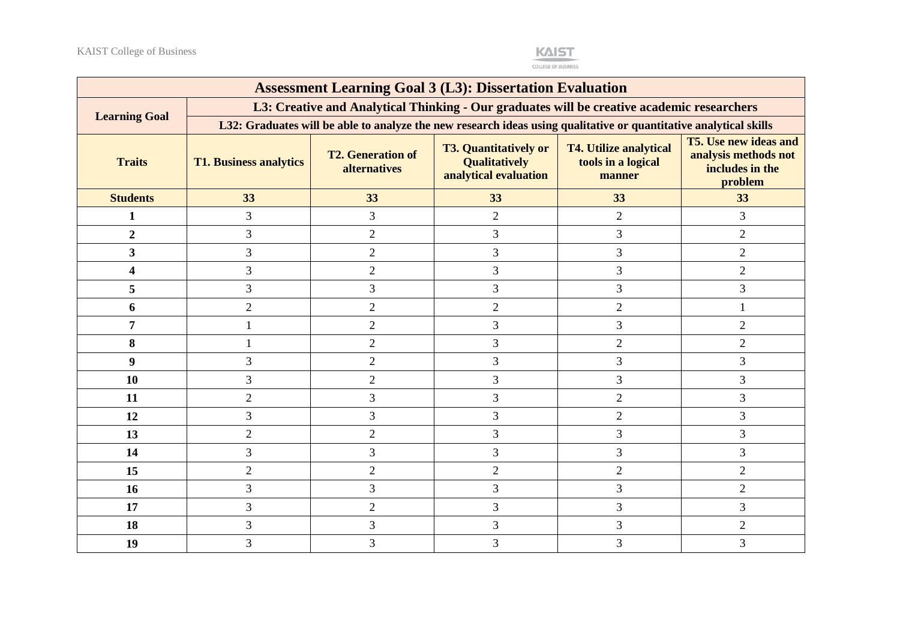

|                         |                               |                                                 | <b>Assessment Learning Goal 3 (L3): Dissertation Evaluation</b>                                                   |                                                               |                                                                                    |
|-------------------------|-------------------------------|-------------------------------------------------|-------------------------------------------------------------------------------------------------------------------|---------------------------------------------------------------|------------------------------------------------------------------------------------|
| <b>Learning Goal</b>    |                               |                                                 | L3: Creative and Analytical Thinking - Our graduates will be creative academic researchers                        |                                                               |                                                                                    |
|                         |                               |                                                 | L32: Graduates will be able to analyze the new research ideas using qualitative or quantitative analytical skills |                                                               |                                                                                    |
| <b>Traits</b>           | <b>T1. Business analytics</b> | <b>T2. Generation of</b><br><b>alternatives</b> | <b>T3. Quantitatively or</b><br><b>Qualitatively</b><br>analytical evaluation                                     | <b>T4. Utilize analytical</b><br>tools in a logical<br>manner | <b>T5.</b> Use new ideas and<br>analysis methods not<br>includes in the<br>problem |
| <b>Students</b>         | 33                            | 33                                              | 33                                                                                                                | 33                                                            | 33                                                                                 |
| $\mathbf{1}$            | 3                             | 3                                               | $\overline{2}$                                                                                                    | $\overline{2}$                                                | 3                                                                                  |
| $\overline{2}$          | 3                             | $\overline{2}$                                  | $\overline{3}$                                                                                                    | 3                                                             | $\overline{2}$                                                                     |
| $\overline{\mathbf{3}}$ | 3                             | $\overline{2}$                                  | 3                                                                                                                 | 3                                                             | $\overline{2}$                                                                     |
| 4                       | 3                             | $\mathbf{2}$                                    | 3                                                                                                                 | 3                                                             | $\overline{2}$                                                                     |
| 5                       | 3                             | 3                                               | 3                                                                                                                 | 3                                                             | 3                                                                                  |
| 6                       | $\overline{2}$                | $\overline{2}$                                  | $\overline{2}$                                                                                                    | $\overline{2}$                                                |                                                                                    |
| 7                       |                               | $\overline{2}$                                  | 3                                                                                                                 | 3                                                             | $\overline{2}$                                                                     |
| 8                       |                               | $\mathfrak{2}$                                  | 3                                                                                                                 | $\overline{2}$                                                | $\overline{2}$                                                                     |
| 9                       | 3                             | $\mathfrak{2}$                                  | 3                                                                                                                 | 3                                                             | 3                                                                                  |
| 10                      | 3                             | $\mathbf{2}$                                    | 3                                                                                                                 | 3                                                             | 3                                                                                  |
| 11                      | $\overline{2}$                | 3                                               | 3                                                                                                                 | $\overline{2}$                                                | 3                                                                                  |
| 12                      | 3                             | 3                                               | 3                                                                                                                 | $\overline{2}$                                                | 3                                                                                  |
| 13                      | $\overline{2}$                | $\overline{2}$                                  | 3                                                                                                                 | 3                                                             | 3                                                                                  |
| 14                      | 3                             | 3                                               | 3                                                                                                                 | 3                                                             | 3                                                                                  |
| 15                      | $\overline{2}$                | $\sqrt{2}$                                      | $\overline{2}$                                                                                                    | $\overline{2}$                                                | $\overline{2}$                                                                     |
| 16                      | 3                             | 3                                               | 3                                                                                                                 | 3                                                             | $\overline{c}$                                                                     |
| 17                      | 3                             | $\overline{2}$                                  | 3                                                                                                                 | 3                                                             | 3                                                                                  |
| 18                      | 3                             | 3                                               | 3                                                                                                                 | 3                                                             | $\overline{2}$                                                                     |
| 19                      | 3                             | 3                                               | $\mathfrak{Z}$                                                                                                    | 3                                                             | 3                                                                                  |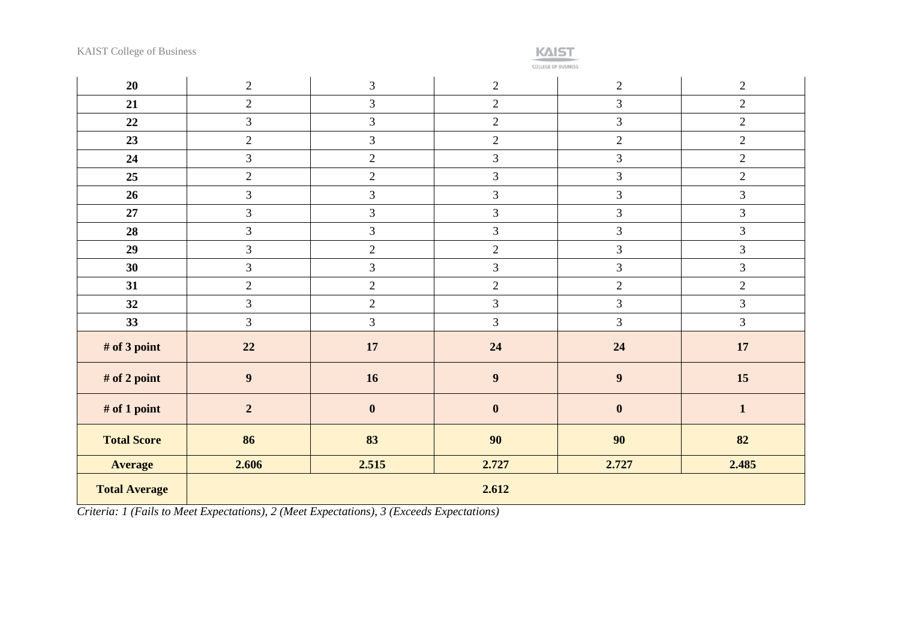

**COLLEGE OF BUSINESS** 

| 20                   | $\overline{2}$   | $\mathfrak{Z}$   | $\overline{2}$   | $2\,$          | $\mathbf{2}$   |
|----------------------|------------------|------------------|------------------|----------------|----------------|
| 21                   | $\overline{2}$   | $\mathfrak{Z}$   | $\overline{2}$   | $\overline{3}$ | $\overline{2}$ |
| 22                   | $\mathfrak{Z}$   | $\mathfrak{Z}$   | $\overline{2}$   | $\mathfrak{Z}$ | $\overline{2}$ |
| 23                   | $\overline{2}$   | $\mathfrak{Z}$   | $\overline{2}$   | $\overline{2}$ | $\overline{2}$ |
| 24                   | $\overline{3}$   | $\sqrt{2}$       | $\overline{3}$   | $\overline{3}$ | $\overline{2}$ |
| 25                   | $\sqrt{2}$       | $\sqrt{2}$       | 3                | $\mathfrak{Z}$ | $\mathbf{2}$   |
| 26                   | $\mathfrak{Z}$   | $\mathfrak{Z}$   | 3                | $\mathfrak{Z}$ | $\mathfrak{Z}$ |
| 27                   | $\mathfrak{Z}$   | $\mathfrak{Z}$   | 3                | $\mathfrak{Z}$ | 3              |
| 28                   | $\overline{3}$   | $\mathfrak{Z}$   | $\overline{3}$   | $\mathfrak{Z}$ | $\mathfrak{Z}$ |
| 29                   | $\overline{3}$   | $\overline{2}$   | $\overline{2}$   | $\overline{3}$ | $\overline{3}$ |
| 30                   | $\mathfrak{Z}$   | $\mathfrak{Z}$   | 3                | $\mathfrak{Z}$ | $\mathfrak{Z}$ |
| 31                   | $\overline{2}$   | $\sqrt{2}$       | $\overline{2}$   | $\mathbf{2}$   | $\overline{c}$ |
| 32                   | $\mathfrak{Z}$   | $\sqrt{2}$       | 3                | $\mathfrak{Z}$ | $\mathfrak{Z}$ |
| 33                   | $\overline{3}$   | $\mathfrak{Z}$   | 3                | $\overline{3}$ | 3              |
| # of 3 point         | 22               | 17               | 24               | 24             | 17             |
| # of 2 point         | $\boldsymbol{9}$ | 16               | 9                | 9              | 15             |
| # of 1 point         | $\overline{2}$   | $\boldsymbol{0}$ | $\boldsymbol{0}$ | $\mathbf{0}$   | $\mathbf{1}$   |
| <b>Total Score</b>   | 86               | 83               | 90               | 90             | 82             |
| <b>Average</b>       | 2.606            | 2.515            | 2.727            | 2.727          | 2.485          |
| <b>Total Average</b> |                  |                  | 2.612            |                |                |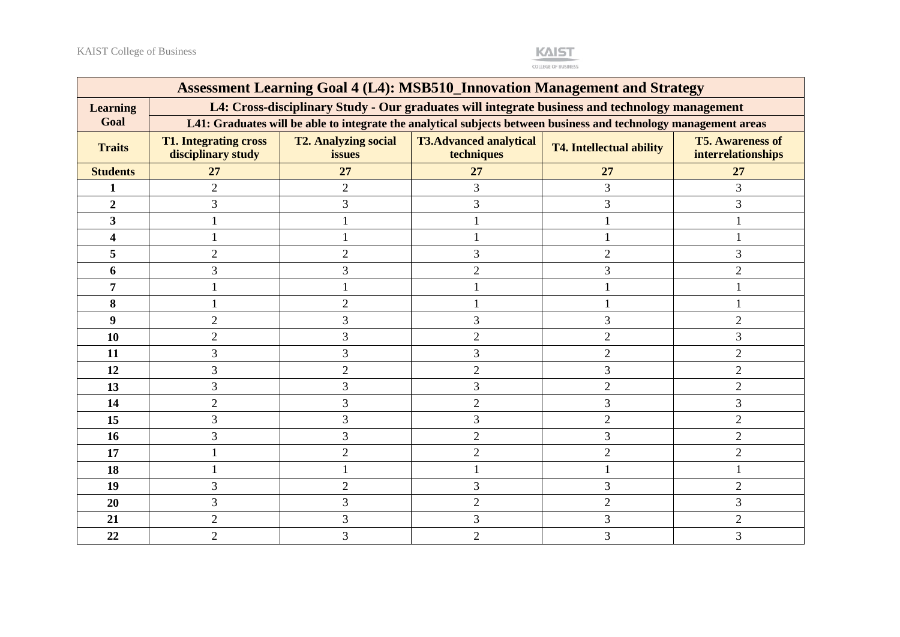

|                 | <b>Assessment Learning Goal 4 (L4): MSB510_Innovation Management and Strategy</b> |                                       |                                                                                                                   |                                 |                                               |  |  |  |  |
|-----------------|-----------------------------------------------------------------------------------|---------------------------------------|-------------------------------------------------------------------------------------------------------------------|---------------------------------|-----------------------------------------------|--|--|--|--|
| <b>Learning</b> |                                                                                   |                                       | L4: Cross-disciplinary Study - Our graduates will integrate business and technology management                    |                                 |                                               |  |  |  |  |
| Goal            |                                                                                   |                                       | L41: Graduates will be able to integrate the analytical subjects between business and technology management areas |                                 |                                               |  |  |  |  |
| <b>Traits</b>   | <b>T1. Integrating cross</b><br>disciplinary study                                | <b>T2. Analyzing social</b><br>issues | <b>T3.Advanced analytical</b><br>techniques                                                                       | <b>T4. Intellectual ability</b> | <b>T5. Awareness of</b><br>interrelationships |  |  |  |  |
| <b>Students</b> | 27                                                                                | <b>27</b>                             | 27                                                                                                                | 27                              | 27                                            |  |  |  |  |
| 1               | $\overline{2}$                                                                    | $\overline{2}$                        | $\overline{3}$                                                                                                    | 3                               | 3                                             |  |  |  |  |
| $\overline{2}$  | 3                                                                                 | 3                                     | 3                                                                                                                 | 3                               | 3                                             |  |  |  |  |
| $\overline{3}$  |                                                                                   |                                       |                                                                                                                   |                                 |                                               |  |  |  |  |
| 4               |                                                                                   |                                       |                                                                                                                   |                                 |                                               |  |  |  |  |
| 5               | $\overline{2}$                                                                    | $\overline{2}$                        | 3                                                                                                                 | $\overline{2}$                  | 3                                             |  |  |  |  |
| 6               | 3                                                                                 | 3                                     | $\overline{2}$                                                                                                    | 3                               | $\overline{2}$                                |  |  |  |  |
| 7               |                                                                                   |                                       |                                                                                                                   |                                 |                                               |  |  |  |  |
| 8               |                                                                                   | $\overline{2}$                        |                                                                                                                   |                                 |                                               |  |  |  |  |
| 9               | $\overline{2}$                                                                    | 3                                     | 3                                                                                                                 | 3                               | $\overline{2}$                                |  |  |  |  |
| 10              | $\overline{2}$                                                                    | 3                                     | $\overline{2}$                                                                                                    | $\mathfrak{2}$                  | 3                                             |  |  |  |  |
| 11              | 3                                                                                 | 3                                     | 3                                                                                                                 | $\overline{2}$                  | $\overline{2}$                                |  |  |  |  |
| 12              | 3                                                                                 | $\overline{2}$                        | $\overline{2}$                                                                                                    | 3                               | $\overline{2}$                                |  |  |  |  |
| 13              | 3                                                                                 | 3                                     | 3                                                                                                                 | $\overline{2}$                  | 2                                             |  |  |  |  |
| 14              | $\overline{2}$                                                                    | 3                                     | $\overline{2}$                                                                                                    | 3                               | 3                                             |  |  |  |  |
| 15              | 3                                                                                 | 3                                     | 3                                                                                                                 | $\mathfrak{2}$                  | $\overline{2}$                                |  |  |  |  |
| 16              | 3                                                                                 | 3                                     | $\overline{2}$                                                                                                    | 3                               | 2                                             |  |  |  |  |
| 17              |                                                                                   | $\overline{2}$                        | $\overline{2}$                                                                                                    | $\overline{2}$                  | $\overline{2}$                                |  |  |  |  |
| 18              |                                                                                   |                                       |                                                                                                                   |                                 |                                               |  |  |  |  |
| 19              | 3                                                                                 | $\overline{2}$                        | 3                                                                                                                 | 3                               | $\overline{2}$                                |  |  |  |  |
| 20              | 3                                                                                 | 3                                     | $\overline{2}$                                                                                                    | $\overline{2}$                  | $\overline{3}$                                |  |  |  |  |
| 21              | $\overline{2}$                                                                    | 3                                     | 3                                                                                                                 | 3                               | $\overline{2}$                                |  |  |  |  |
| 22              | $\overline{2}$                                                                    | 3                                     | $\overline{2}$                                                                                                    | 3                               | 3                                             |  |  |  |  |